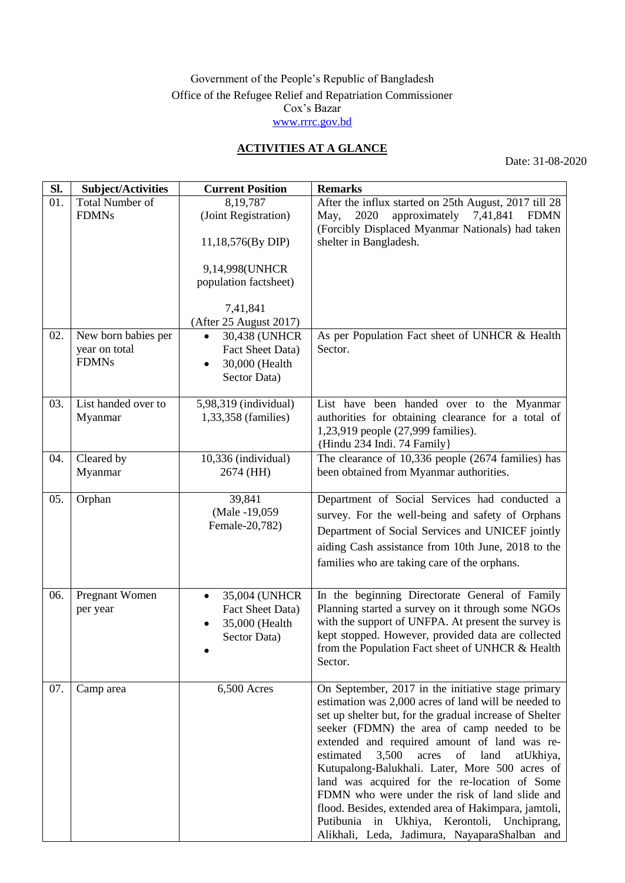## Government of the People's Republic of Bangladesh Office of the Refugee Relief and Repatriation Commissioner Cox's Bazar [www.rrrc.gov.bd](http://www.rrrc.gov.bd/)

## **ACTIVITIES AT A GLANCE**

Date: 31-08-2020

| SI. | Subject/Activities     | <b>Current Position</b>    | <b>Remarks</b>                                                                                             |
|-----|------------------------|----------------------------|------------------------------------------------------------------------------------------------------------|
| 01. | <b>Total Number of</b> | 8,19,787                   | After the influx started on 25th August, 2017 till 28                                                      |
|     | <b>FDMNs</b>           | (Joint Registration)       | 2020<br>approximately 7,41,841<br><b>FDMN</b><br>May,                                                      |
|     |                        |                            | (Forcibly Displaced Myanmar Nationals) had taken                                                           |
|     |                        | 11,18,576(By DIP)          | shelter in Bangladesh.                                                                                     |
|     |                        | 9,14,998(UNHCR             |                                                                                                            |
|     |                        | population factsheet)      |                                                                                                            |
|     |                        |                            |                                                                                                            |
|     |                        | 7,41,841                   |                                                                                                            |
|     |                        | (After 25 August 2017)     |                                                                                                            |
| 02. | New born babies per    | 30,438 (UNHCR              | As per Population Fact sheet of UNHCR & Health                                                             |
|     | year on total          | Fact Sheet Data)           | Sector.                                                                                                    |
|     | <b>FDMNs</b>           | 30,000 (Health             |                                                                                                            |
|     |                        | Sector Data)               |                                                                                                            |
|     |                        |                            |                                                                                                            |
| 03. | List handed over to    | 5,98,319 (individual)      | List have been handed over to the Myanmar                                                                  |
|     | Myanmar                | 1,33,358 (families)        | authorities for obtaining clearance for a total of<br>1,23,919 people (27,999 families).                   |
|     |                        |                            | {Hindu 234 Indi. 74 Family}                                                                                |
| 04. | Cleared by             | 10,336 (individual)        | The clearance of $10,336$ people (2674 families) has                                                       |
|     | Myanmar                | 2674 (HH)                  | been obtained from Myanmar authorities.                                                                    |
|     |                        |                            |                                                                                                            |
| 05. | Orphan                 | 39,841                     | Department of Social Services had conducted a                                                              |
|     |                        | (Male -19,059)             | survey. For the well-being and safety of Orphans                                                           |
|     |                        | Female-20,782)             | Department of Social Services and UNICEF jointly                                                           |
|     |                        |                            | aiding Cash assistance from 10th June, 2018 to the                                                         |
|     |                        |                            | families who are taking care of the orphans.                                                               |
|     |                        |                            |                                                                                                            |
| 06. | Pregnant Women         | 35,004 (UNHCR<br>$\bullet$ | In the beginning Directorate General of Family                                                             |
|     | per year               | Fact Sheet Data)           | Planning started a survey on it through some NGOs                                                          |
|     |                        | 35,000 (Health             | with the support of UNFPA. At present the survey is                                                        |
|     |                        | Sector Data)               | kept stopped. However, provided data are collected                                                         |
|     |                        |                            | from the Population Fact sheet of UNHCR & Health                                                           |
|     |                        |                            | Sector.                                                                                                    |
|     |                        |                            |                                                                                                            |
| 07. | Camp area              | 6,500 Acres                | On September, 2017 in the initiative stage primary<br>estimation was 2,000 acres of land will be needed to |
|     |                        |                            | set up shelter but, for the gradual increase of Shelter                                                    |
|     |                        |                            | seeker (FDMN) the area of camp needed to be                                                                |
|     |                        |                            | extended and required amount of land was re-                                                               |
|     |                        |                            | estimated<br>3,500<br>of<br>land<br>acres<br>atUkhiya,                                                     |
|     |                        |                            | Kutupalong-Balukhali. Later, More 500 acres of                                                             |
|     |                        |                            | land was acquired for the re-location of Some                                                              |
|     |                        |                            | FDMN who were under the risk of land slide and                                                             |
|     |                        |                            | flood. Besides, extended area of Hakimpara, jamtoli,                                                       |
|     |                        |                            | Putibunia in Ukhiya, Kerontoli, Unchiprang,                                                                |
|     |                        |                            | Alikhali, Leda, Jadimura, NayaparaShalban and                                                              |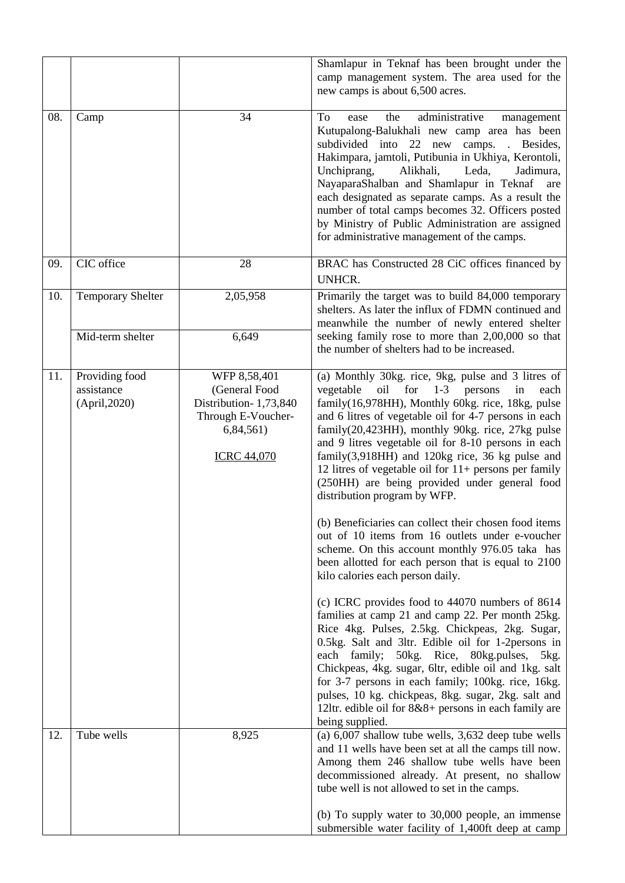|     |                                               |                                                                                                                 | Shamlapur in Teknaf has been brought under the<br>camp management system. The area used for the<br>new camps is about 6,500 acres.                                                                                                                                                                                                                                                                                                                                                                                                                                                                                                                                                                                                                                                                                                                                                                                                                                                                                                                                                                                                                                                                                                                                                                                        |
|-----|-----------------------------------------------|-----------------------------------------------------------------------------------------------------------------|---------------------------------------------------------------------------------------------------------------------------------------------------------------------------------------------------------------------------------------------------------------------------------------------------------------------------------------------------------------------------------------------------------------------------------------------------------------------------------------------------------------------------------------------------------------------------------------------------------------------------------------------------------------------------------------------------------------------------------------------------------------------------------------------------------------------------------------------------------------------------------------------------------------------------------------------------------------------------------------------------------------------------------------------------------------------------------------------------------------------------------------------------------------------------------------------------------------------------------------------------------------------------------------------------------------------------|
| 08. | Camp                                          | 34                                                                                                              | administrative<br>To<br>the<br>ease<br>management<br>Kutupalong-Balukhali new camp area has been<br>subdivided into<br>22 new camps. Besides,<br>Hakimpara, jamtoli, Putibunia in Ukhiya, Kerontoli,<br>Unchiprang,<br>Alikhali,<br>Leda,<br>Jadimura,<br>NayaparaShalban and Shamlapur in Teknaf<br>are<br>each designated as separate camps. As a result the<br>number of total camps becomes 32. Officers posted<br>by Ministry of Public Administration are assigned<br>for administrative management of the camps.                                                                                                                                                                                                                                                                                                                                                                                                                                                                                                                                                                                                                                                                                                                                                                                                   |
| 09. | CIC office                                    | 28                                                                                                              | BRAC has Constructed 28 CiC offices financed by<br>UNHCR.                                                                                                                                                                                                                                                                                                                                                                                                                                                                                                                                                                                                                                                                                                                                                                                                                                                                                                                                                                                                                                                                                                                                                                                                                                                                 |
| 10. | <b>Temporary Shelter</b><br>Mid-term shelter  | 2,05,958<br>6,649                                                                                               | Primarily the target was to build 84,000 temporary<br>shelters. As later the influx of FDMN continued and<br>meanwhile the number of newly entered shelter<br>seeking family rose to more than 2,00,000 so that                                                                                                                                                                                                                                                                                                                                                                                                                                                                                                                                                                                                                                                                                                                                                                                                                                                                                                                                                                                                                                                                                                           |
|     |                                               |                                                                                                                 | the number of shelters had to be increased.                                                                                                                                                                                                                                                                                                                                                                                                                                                                                                                                                                                                                                                                                                                                                                                                                                                                                                                                                                                                                                                                                                                                                                                                                                                                               |
| 11. | Providing food<br>assistance<br>(April, 2020) | WFP 8,58,401<br>(General Food<br>Distribution-1,73,840<br>Through E-Voucher-<br>6,84,561)<br><b>ICRC 44,070</b> | (a) Monthly 30kg. rice, 9kg, pulse and 3 litres of<br>for<br>vegetable<br>oil<br>$1 - 3$<br>persons<br>in<br>each<br>family(16,978HH), Monthly 60kg. rice, 18kg, pulse<br>and 6 litres of vegetable oil for 4-7 persons in each<br>family(20,423HH), monthly 90kg. rice, 27kg pulse<br>and 9 litres vegetable oil for 8-10 persons in each<br>family $(3,918HH)$ and 120kg rice, 36 kg pulse and<br>12 litres of vegetable oil for $11+$ persons per family<br>(250HH) are being provided under general food<br>distribution program by WFP.<br>(b) Beneficiaries can collect their chosen food items<br>out of 10 items from 16 outlets under e-voucher<br>scheme. On this account monthly 976.05 taka has<br>been allotted for each person that is equal to 2100<br>kilo calories each person daily.<br>(c) ICRC provides food to 44070 numbers of 8614<br>families at camp 21 and camp 22. Per month 25kg.<br>Rice 4kg. Pulses, 2.5kg. Chickpeas, 2kg. Sugar,<br>0.5kg. Salt and 3ltr. Edible oil for 1-2persons in<br>each family; 50kg. Rice, 80kg.pulses,<br>5kg.<br>Chickpeas, 4kg. sugar, 6ltr, edible oil and 1kg. salt<br>for 3-7 persons in each family; 100kg. rice, 16kg.<br>pulses, 10 kg. chickpeas, 8kg. sugar, 2kg. salt and<br>12ltr. edible oil for 8&8+ persons in each family are<br>being supplied. |
| 12. | Tube wells                                    | 8,925                                                                                                           | (a) $6,007$ shallow tube wells, $3,632$ deep tube wells<br>and 11 wells have been set at all the camps till now.<br>Among them 246 shallow tube wells have been<br>decommissioned already. At present, no shallow<br>tube well is not allowed to set in the camps.<br>(b) To supply water to 30,000 people, an immense<br>submersible water facility of 1,400ft deep at camp                                                                                                                                                                                                                                                                                                                                                                                                                                                                                                                                                                                                                                                                                                                                                                                                                                                                                                                                              |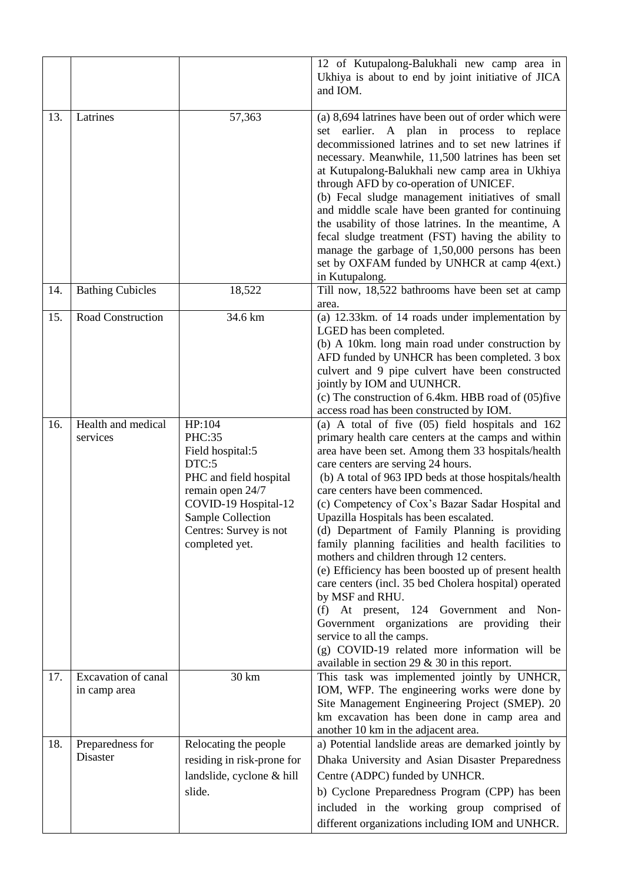|     |                                     |                                                                                                                                                                                                    | 12 of Kutupalong-Balukhali new camp area in<br>Ukhiya is about to end by joint initiative of JICA<br>and IOM.                                                                                                                                                                                                                                                                                                                                                                                                                                                                                                                                                                                                                                                                                                                                                                                                                    |
|-----|-------------------------------------|----------------------------------------------------------------------------------------------------------------------------------------------------------------------------------------------------|----------------------------------------------------------------------------------------------------------------------------------------------------------------------------------------------------------------------------------------------------------------------------------------------------------------------------------------------------------------------------------------------------------------------------------------------------------------------------------------------------------------------------------------------------------------------------------------------------------------------------------------------------------------------------------------------------------------------------------------------------------------------------------------------------------------------------------------------------------------------------------------------------------------------------------|
| 13. | Latrines                            | 57,363                                                                                                                                                                                             | (a) 8,694 latrines have been out of order which were<br>A plan in process to<br>earlier.<br>replace<br>set<br>decommissioned latrines and to set new latrines if<br>necessary. Meanwhile, 11,500 latrines has been set<br>at Kutupalong-Balukhali new camp area in Ukhiya<br>through AFD by co-operation of UNICEF.<br>(b) Fecal sludge management initiatives of small<br>and middle scale have been granted for continuing<br>the usability of those latrines. In the meantime, A<br>fecal sludge treatment (FST) having the ability to<br>manage the garbage of 1,50,000 persons has been<br>set by OXFAM funded by UNHCR at camp 4(ext.)<br>in Kutupalong.                                                                                                                                                                                                                                                                   |
| 14. | <b>Bathing Cubicles</b>             | 18,522                                                                                                                                                                                             | Till now, 18,522 bathrooms have been set at camp<br>area.                                                                                                                                                                                                                                                                                                                                                                                                                                                                                                                                                                                                                                                                                                                                                                                                                                                                        |
| 15. | <b>Road Construction</b>            | 34.6 km                                                                                                                                                                                            | (a) 12.33km. of 14 roads under implementation by<br>LGED has been completed.<br>(b) A 10km. long main road under construction by<br>AFD funded by UNHCR has been completed. 3 box<br>culvert and 9 pipe culvert have been constructed<br>jointly by IOM and UUNHCR.<br>(c) The construction of 6.4km. HBB road of (05)five<br>access road has been constructed by IOM.                                                                                                                                                                                                                                                                                                                                                                                                                                                                                                                                                           |
| 16. | Health and medical<br>services      | $\overline{HP}$ :104<br>PHC:35<br>Field hospital:5<br>DTC:5<br>PHC and field hospital<br>remain open 24/7<br>COVID-19 Hospital-12<br>Sample Collection<br>Centres: Survey is not<br>completed yet. | (a) A total of five $(05)$ field hospitals and $162$<br>primary health care centers at the camps and within<br>area have been set. Among them 33 hospitals/health<br>care centers are serving 24 hours.<br>(b) A total of 963 IPD beds at those hospitals/health<br>care centers have been commenced.<br>(c) Competency of Cox's Bazar Sadar Hospital and<br>Upazilla Hospitals has been escalated.<br>(d) Department of Family Planning is providing<br>family planning facilities and health facilities to<br>mothers and children through 12 centers.<br>(e) Efficiency has been boosted up of present health<br>care centers (incl. 35 bed Cholera hospital) operated<br>by MSF and RHU.<br>(f) At present, 124 Government<br>Non-<br>and<br>Government organizations are providing<br>their<br>service to all the camps.<br>(g) COVID-19 related more information will be<br>available in section 29 $&$ 30 in this report. |
| 17. | Excavation of canal<br>in camp area | 30 km                                                                                                                                                                                              | This task was implemented jointly by UNHCR,<br>IOM, WFP. The engineering works were done by<br>Site Management Engineering Project (SMEP). 20<br>km excavation has been done in camp area and<br>another 10 km in the adjacent area.                                                                                                                                                                                                                                                                                                                                                                                                                                                                                                                                                                                                                                                                                             |
| 18. | Preparedness for<br>Disaster        | Relocating the people<br>residing in risk-prone for<br>landslide, cyclone & hill<br>slide.                                                                                                         | a) Potential landslide areas are demarked jointly by<br>Dhaka University and Asian Disaster Preparedness<br>Centre (ADPC) funded by UNHCR.<br>b) Cyclone Preparedness Program (CPP) has been<br>included in the working group comprised of<br>different organizations including IOM and UNHCR.                                                                                                                                                                                                                                                                                                                                                                                                                                                                                                                                                                                                                                   |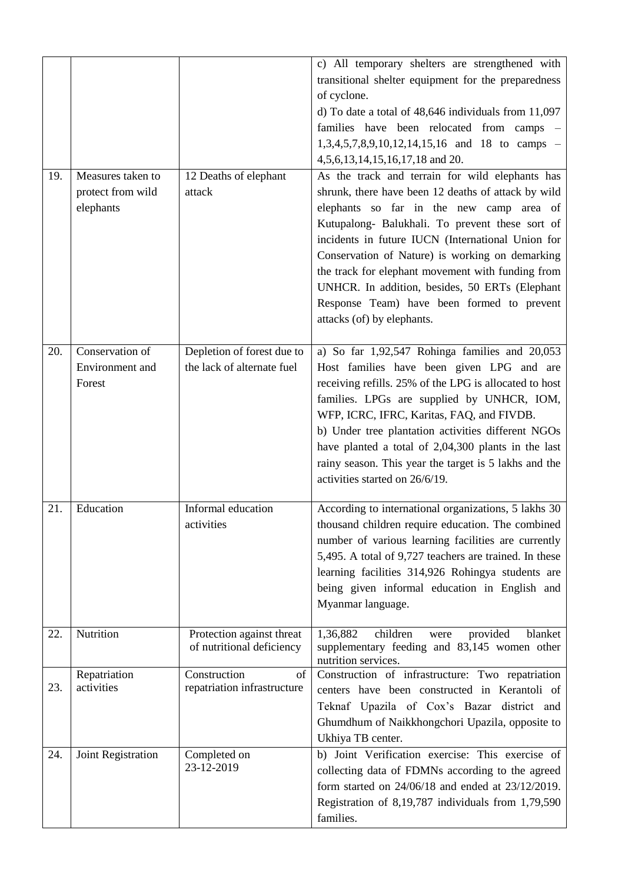|     |                            |                                                   | c) All temporary shelters are strengthened with          |
|-----|----------------------------|---------------------------------------------------|----------------------------------------------------------|
|     |                            |                                                   | transitional shelter equipment for the preparedness      |
|     |                            |                                                   | of cyclone.                                              |
|     |                            |                                                   | d) To date a total of $48,646$ individuals from $11,097$ |
|     |                            |                                                   | families have been relocated from camps -                |
|     |                            |                                                   | $1,3,4,5,7,8,9,10,12,14,15,16$ and 18 to camps -         |
|     |                            |                                                   | 4, 5, 6, 13, 14, 15, 16, 17, 18 and 20.                  |
| 19. | Measures taken to          | 12 Deaths of elephant                             | As the track and terrain for wild elephants has          |
|     | protect from wild          | attack                                            | shrunk, there have been 12 deaths of attack by wild      |
|     |                            |                                                   |                                                          |
|     | elephants                  |                                                   | elephants so far in the new camp area of                 |
|     |                            |                                                   | Kutupalong- Balukhali. To prevent these sort of          |
|     |                            |                                                   | incidents in future IUCN (International Union for        |
|     |                            |                                                   | Conservation of Nature) is working on demarking          |
|     |                            |                                                   | the track for elephant movement with funding from        |
|     |                            |                                                   | UNHCR. In addition, besides, 50 ERTs (Elephant           |
|     |                            |                                                   | Response Team) have been formed to prevent               |
|     |                            |                                                   | attacks (of) by elephants.                               |
|     |                            |                                                   |                                                          |
| 20. | Conservation of            | Depletion of forest due to                        | a) So far $1,92,547$ Rohinga families and $20,053$       |
|     | Environment and            | the lack of alternate fuel                        | Host families have been given LPG and are                |
|     | Forest                     |                                                   | receiving refills. 25% of the LPG is allocated to host   |
|     |                            |                                                   | families. LPGs are supplied by UNHCR, IOM,               |
|     |                            |                                                   | WFP, ICRC, IFRC, Karitas, FAQ, and FIVDB.                |
|     |                            |                                                   | b) Under tree plantation activities different NGOs       |
|     |                            |                                                   | have planted a total of 2,04,300 plants in the last      |
|     |                            |                                                   | rainy season. This year the target is 5 lakhs and the    |
|     |                            |                                                   | activities started on 26/6/19.                           |
|     |                            |                                                   |                                                          |
| 21. | Education                  | Informal education                                | According to international organizations, 5 lakhs 30     |
|     |                            | activities                                        | thousand children require education. The combined        |
|     |                            |                                                   | number of various learning facilities are currently      |
|     |                            |                                                   | 5,495. A total of 9,727 teachers are trained. In these   |
|     |                            |                                                   | learning facilities 314,926 Rohingya students are        |
|     |                            |                                                   | being given informal education in English and            |
|     |                            |                                                   | Myanmar language.                                        |
|     |                            |                                                   |                                                          |
| 22. | Nutrition                  | Protection against threat                         | 1,36,882<br>children<br>provided<br>blanket<br>were      |
|     |                            | of nutritional deficiency                         | supplementary feeding and 83,145 women other             |
|     |                            |                                                   | nutrition services.                                      |
| 23. | Repatriation<br>activities | Construction<br>of<br>repatriation infrastructure | Construction of infrastructure: Two repatriation         |
|     |                            |                                                   | centers have been constructed in Kerantoli of            |
|     |                            |                                                   | Teknaf Upazila of Cox's Bazar district and               |
|     |                            |                                                   | Ghumdhum of Naikkhongchori Upazila, opposite to          |
|     |                            |                                                   | Ukhiya TB center.                                        |
| 24. | Joint Registration         | Completed on                                      | b) Joint Verification exercise: This exercise of         |
|     |                            | 23-12-2019                                        | collecting data of FDMNs according to the agreed         |
|     |                            |                                                   | form started on $24/06/18$ and ended at $23/12/2019$ .   |
|     |                            |                                                   | Registration of 8,19,787 individuals from 1,79,590       |
|     |                            |                                                   | families.                                                |